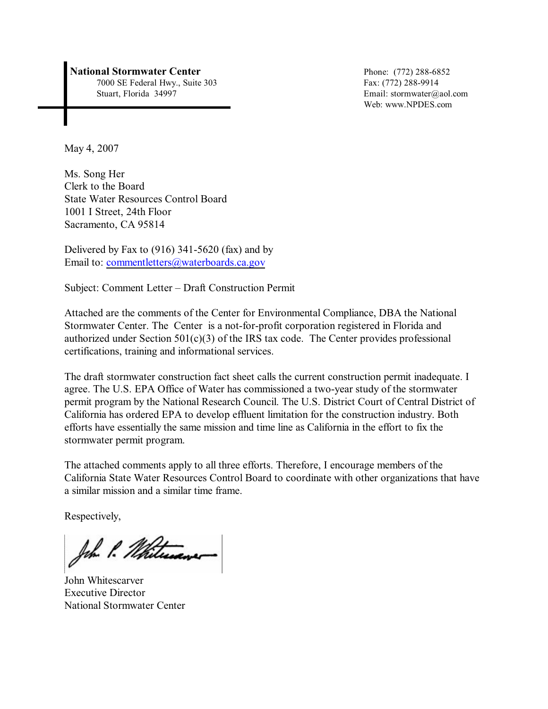#### **National Stormwater Center** Phone: (772) 288-6852

7000 SE Federal Hwy., Suite 303<br>
Stuart, Florida 34997 Email: stormwater@g

Email: stormwater@aol.com Web: www.NPDES.com

May 4, 2007

Ms. Song Her Clerk to the Board State Water Resources Control Board 1001 I Street, 24th Floor Sacramento, CA 95814

Delivered by Fax to (916) 341-5620 (fax) and by Email to: [commentletters@waterboards.ca.gov](mailto:commentletters@waterboards.ca.gov)

Subject: Comment Letter – Draft Construction Permit

Attached are the comments of the Center for Environmental Compliance, DBA the National Stormwater Center. The Center is a not-for-profit corporation registered in Florida and authorized under Section  $501(c)(3)$  of the IRS tax code. The Center provides professional certifications, training and informational services.

The draft stormwater construction fact sheet calls the current construction permit inadequate. I agree. The U.S. EPA Office of Water has commissioned a two-year study of the stormwater permit program by the National Research Council. The U.S. District Court of Central District of California has ordered EPA to develop effluent limitation for the construction industry. Both efforts have essentially the same mission and time line as California in the effort to fix the stormwater permit program.

The attached comments apply to all three efforts. Therefore, I encourage members of the California State Water Resources Control Board to coordinate with other organizations that have a similar mission and a similar time frame.

Respectively,

John P. Whitewaver

John Whitescarver Executive Director National Stormwater Center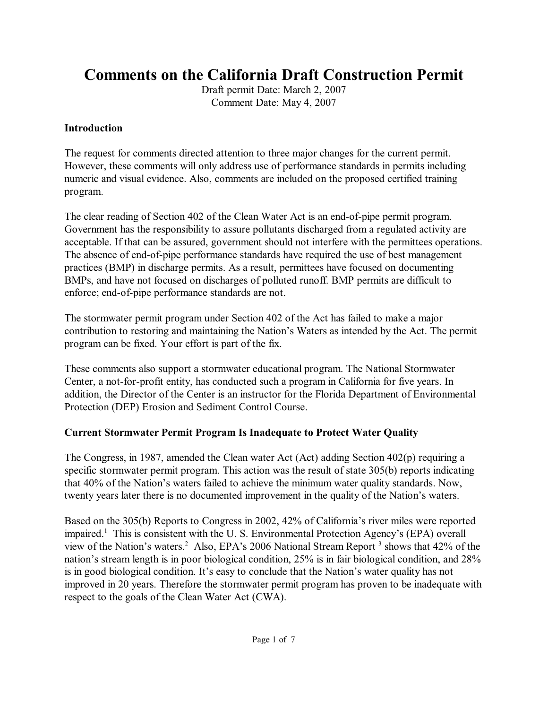# **Comments on the California Draft Construction Permit**

Draft permit Date: March 2, 2007 Comment Date: May 4, 2007

#### **Introduction**

The request for comments directed attention to three major changes for the current permit. However, these comments will only address use of performance standards in permits including numeric and visual evidence. Also, comments are included on the proposed certified training program.

The clear reading of Section 402 of the Clean Water Act is an end-of-pipe permit program. Government has the responsibility to assure pollutants discharged from a regulated activity are acceptable. If that can be assured, government should not interfere with the permittees operations. The absence of end-of-pipe performance standards have required the use of best management practices (BMP) in discharge permits. As a result, permittees have focused on documenting BMPs, and have not focused on discharges of polluted runoff. BMP permits are difficult to enforce; end-of-pipe performance standards are not.

The stormwater permit program under Section 402 of the Act has failed to make a major contribution to restoring and maintaining the Nation's Waters as intended by the Act. The permit program can be fixed. Your effort is part of the fix.

These comments also support a stormwater educational program. The National Stormwater Center, a not-for-profit entity, has conducted such a program in California for five years. In addition, the Director of the Center is an instructor for the Florida Department of Environmental Protection (DEP) Erosion and Sediment Control Course.

### **Current Stormwater Permit Program Is Inadequate to Protect Water Quality**

The Congress, in 1987, amended the Clean water Act (Act) adding Section 402(p) requiring a specific stormwater permit program. This action was the result of state 305(b) reports indicating that 40% of the Nation's waters failed to achieve the minimum water quality standards. Now, twenty years later there is no documented improvement in the quality of the Nation's waters.

Based on the 305(b) Reports to Congress in 2002, 42% of California's river miles were reported impaired.<sup>1</sup> This is consistent with the U. S. Environmental Protection Agency's (EPA) overall view of the Nation's waters.<sup>2</sup> Also, EPA's 2006 National Stream Report  $3$  shows that 42% of the nation's stream length is in poor biological condition, 25% is in fair biological condition, and 28% is in good biological condition. It's easy to conclude that the Nation's water quality has not improved in 20 years. Therefore the stormwater permit program has proven to be inadequate with respect to the goals of the Clean Water Act (CWA).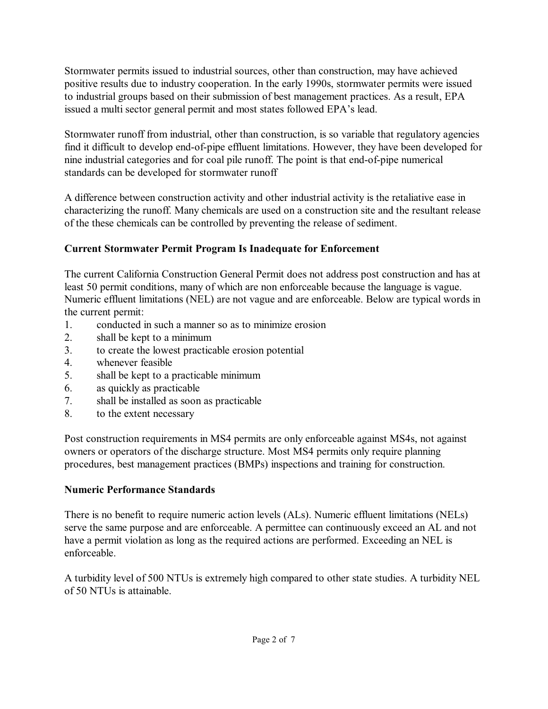Stormwater permits issued to industrial sources, other than construction, may have achieved positive results due to industry cooperation. In the early 1990s, stormwater permits were issued to industrial groups based on their submission of best management practices. As a result, EPA issued a multi sector general permit and most states followed EPA's lead.

Stormwater runoff from industrial, other than construction, is so variable that regulatory agencies find it difficult to develop end-of-pipe effluent limitations. However, they have been developed for nine industrial categories and for coal pile runoff. The point is that end-of-pipe numerical standards can be developed for stormwater runoff

A difference between construction activity and other industrial activity is the retaliative ease in characterizing the runoff. Many chemicals are used on a construction site and the resultant release of the these chemicals can be controlled by preventing the release of sediment.

# **Current Stormwater Permit Program Is Inadequate for Enforcement**

The current California Construction General Permit does not address post construction and has at least 50 permit conditions, many of which are non enforceable because the language is vague. Numeric effluent limitations (NEL) are not vague and are enforceable. Below are typical words in the current permit:

- 1. conducted in such a manner so as to minimize erosion
- 2. shall be kept to a minimum
- 3. to create the lowest practicable erosion potential
- 4. whenever feasible
- 5. shall be kept to a practicable minimum
- 6. as quickly as practicable
- 7. shall be installed as soon as practicable
- 8. to the extent necessary

Post construction requirements in MS4 permits are only enforceable against MS4s, not against owners or operators of the discharge structure. Most MS4 permits only require planning procedures, best management practices (BMPs) inspections and training for construction.

### **Numeric Performance Standards**

There is no benefit to require numeric action levels (ALs). Numeric effluent limitations (NELs) serve the same purpose and are enforceable. A permittee can continuously exceed an AL and not have a permit violation as long as the required actions are performed. Exceeding an NEL is enforceable.

A turbidity level of 500 NTUs is extremely high compared to other state studies. A turbidity NEL of 50 NTUs is attainable.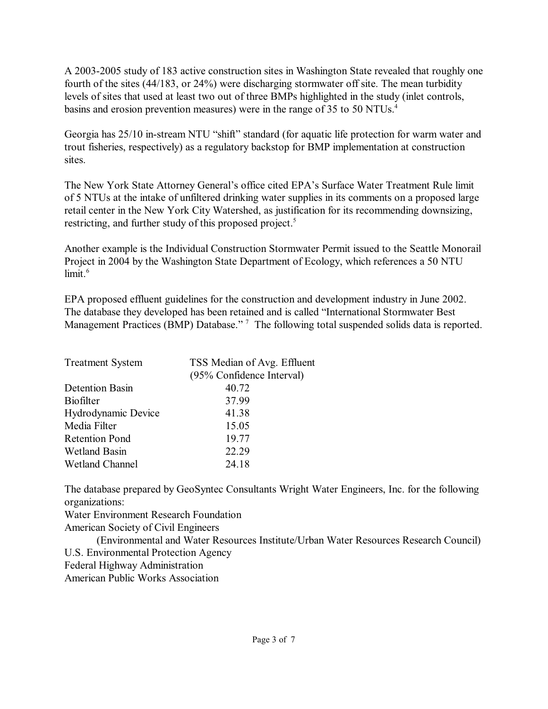A 2003-2005 study of 183 active construction sites in Washington State revealed that roughly one fourth of the sites (44/183, or 24%) were discharging stormwater off site. The mean turbidity levels of sites that used at least two out of three BMPs highlighted in the study (inlet controls, basins and erosion prevention measures) were in the range of 35 to 50 NTUs.<sup>4</sup>

Georgia has 25/10 in-stream NTU "shift" standard (for aquatic life protection for warm water and trout fisheries, respectively) as a regulatory backstop for BMP implementation at construction sites.

The New York State Attorney General's office cited EPA's Surface Water Treatment Rule limit of 5 NTUs at the intake of unfiltered drinking water supplies in its comments on a proposed large retail center in the New York City Watershed, as justification for its recommending downsizing, restricting, and further study of this proposed project.<sup>5</sup>

Another example is the Individual Construction Stormwater Permit issued to the Seattle Monorail Project in 2004 by the Washington State Department of Ecology, which references a 50 NTU limit. 6

EPA proposed effluent guidelines for the construction and development industry in June 2002. The database they developed has been retained and is called "International Stormwater Best Management Practices (BMP) Database."<sup>7</sup> The following total suspended solids data is reported.

| <b>Treatment System</b> | TSS Median of Avg. Effluent |  |
|-------------------------|-----------------------------|--|
|                         | (95% Confidence Interval)   |  |
| <b>Detention Basin</b>  | 40.72                       |  |
| <b>Biofilter</b>        | 37.99                       |  |
| Hydrodynamic Device     | 41.38                       |  |
| Media Filter            | 15.05                       |  |
| <b>Retention Pond</b>   | 19.77                       |  |
| <b>Wetland Basin</b>    | 22.29                       |  |
| <b>Wetland Channel</b>  | 24.18                       |  |

The database prepared by GeoSyntec Consultants Wright Water Engineers, Inc. for the following organizations:

Water Environment Research Foundation

American Society of Civil Engineers

(Environmental and Water Resources Institute/Urban Water Resources Research Council) U.S. Environmental Protection Agency Federal Highway Administration

American Public Works Association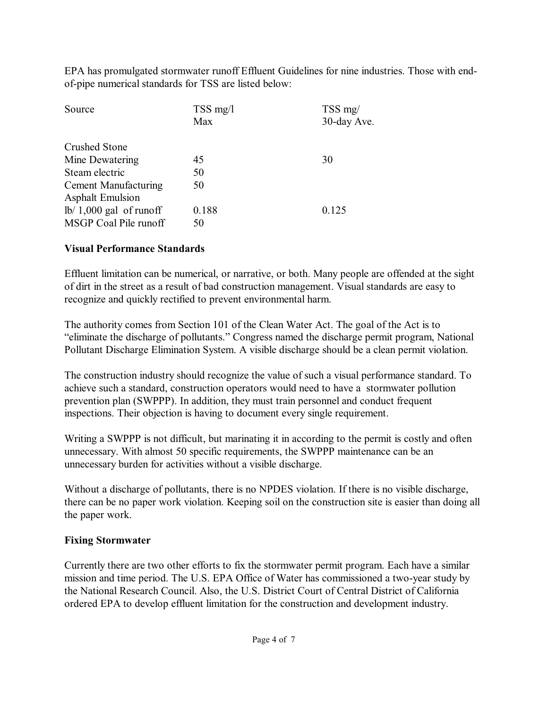EPA has promulgated stormwater runoff Effluent Guidelines for nine industries. Those with endof-pipe numerical standards for TSS are listed below:

| $TSS$ mg/l | $TSS$ mg/   |
|------------|-------------|
| Max        | 30-day Ave. |
|            |             |
| 45         | 30          |
| 50         |             |
| 50         |             |
|            |             |
| 0.188      | 0.125       |
| 50         |             |
|            |             |

#### **Visual Performance Standards**

Effluent limitation can be numerical, or narrative, or both. Many people are offended at the sight of dirt in the street as a result of bad construction management. Visual standards are easy to recognize and quickly rectified to prevent environmental harm.

The authority comes from Section 101 of the Clean Water Act. The goal of the Act is to "eliminate the discharge of pollutants." Congress named the discharge permit program, National Pollutant Discharge Elimination System. A visible discharge should be a clean permit violation.

The construction industry should recognize the value of such a visual performance standard. To achieve such a standard, construction operators would need to have a stormwater pollution prevention plan (SWPPP). In addition, they must train personnel and conduct frequent inspections. Their objection is having to document every single requirement.

Writing a SWPPP is not difficult, but marinating it in according to the permit is costly and often unnecessary. With almost 50 specific requirements, the SWPPP maintenance can be an unnecessary burden for activities without a visible discharge.

Without a discharge of pollutants, there is no NPDES violation. If there is no visible discharge, there can be no paper work violation. Keeping soil on the construction site is easier than doing all the paper work.

### **Fixing Stormwater**

Currently there are two other efforts to fix the stormwater permit program. Each have a similar mission and time period. The U.S. EPA Office of Water has commissioned a two-year study by the National Research Council. Also, the U.S. District Court of Central District of California ordered EPA to develop effluent limitation for the construction and development industry.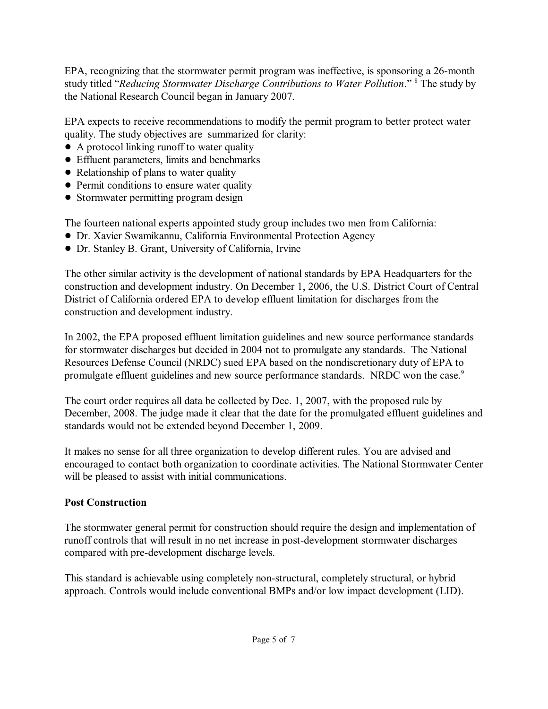EPA, recognizing that the stormwater permit program was ineffective, is sponsoring a 26-month study titled "*Reducing Stormwater Discharge Contributions to Water Pollution*." The study by <sup>8</sup> the National Research Council began in January 2007.

EPA expects to receive recommendations to modify the permit program to better protect water quality. The study objectives are summarized for clarity:

- A protocol linking runoff to water quality
- ! Effluent parameters, limits and benchmarks
- Relationship of plans to water quality
- Permit conditions to ensure water quality
- Stormwater permitting program design

The fourteen national experts appointed study group includes two men from California:

- ! Dr. Xavier Swamikannu, California Environmental Protection Agency
- ! Dr. Stanley B. Grant, University of California, Irvine

The other similar activity is the development of national standards by EPA Headquarters for the construction and development industry. On December 1, 2006, the U.S. District Court of Central District of California ordered EPA to develop effluent limitation for discharges from the construction and development industry.

In 2002, the EPA proposed effluent limitation guidelines and new source performance standards for stormwater discharges but decided in 2004 not to promulgate any standards. The National Resources Defense Council (NRDC) sued EPA based on the nondiscretionary duty of EPA to promulgate effluent guidelines and new source performance standards. NRDC won the case.<sup>9</sup>

The court order requires all data be collected by Dec. 1, 2007, with the proposed rule by December, 2008. The judge made it clear that the date for the promulgated effluent guidelines and standards would not be extended beyond December 1, 2009.

It makes no sense for all three organization to develop different rules. You are advised and encouraged to contact both organization to coordinate activities. The National Stormwater Center will be pleased to assist with initial communications.

# **Post Construction**

The stormwater general permit for construction should require the design and implementation of runoff controls that will result in no net increase in post-development stormwater discharges compared with pre-development discharge levels.

This standard is achievable using completely non-structural, completely structural, or hybrid approach. Controls would include conventional BMPs and/or low impact development (LID).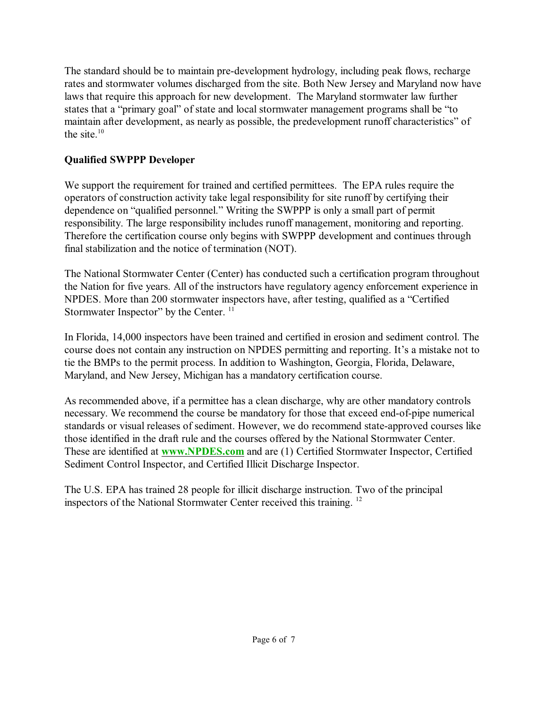The standard should be to maintain pre-development hydrology, including peak flows, recharge rates and stormwater volumes discharged from the site. Both New Jersey and Maryland now have laws that require this approach for new development. The Maryland stormwater law further states that a "primary goal" of state and local stormwater management programs shall be "to maintain after development, as nearly as possible, the predevelopment runoff characteristics" of the site. $10$ 

# **Qualified SWPPP Developer**

We support the requirement for trained and certified permittees. The EPA rules require the operators of construction activity take legal responsibility for site runoff by certifying their dependence on "qualified personnel." Writing the SWPPP is only a small part of permit responsibility. The large responsibility includes runoff management, monitoring and reporting. Therefore the certification course only begins with SWPPP development and continues through final stabilization and the notice of termination (NOT).

The National Stormwater Center (Center) has conducted such a certification program throughout the Nation for five years. All of the instructors have regulatory agency enforcement experience in NPDES. More than 200 stormwater inspectors have, after testing, qualified as a "Certified Stormwater Inspector" by the Center. <sup>11</sup>

In Florida, 14,000 inspectors have been trained and certified in erosion and sediment control. The course does not contain any instruction on NPDES permitting and reporting. It's a mistake not to tie the BMPs to the permit process. In addition to Washington, Georgia, Florida, Delaware, Maryland, and New Jersey, Michigan has a mandatory certification course.

As recommended above, if a permittee has a clean discharge, why are other mandatory controls necessary. We recommend the course be mandatory for those that exceed end-of-pipe numerical standards or visual releases of sediment. However, we do recommend state-approved courses like those identified in the draft rule and the courses offered by the National Stormwater Center. These are identified at **[www.NPDES.com](http://www.NPDES.com)** and are (1) Certified Stormwater Inspector, Certified Sediment Control Inspector, and Certified Illicit Discharge Inspector.

The U.S. EPA has trained 28 people for illicit discharge instruction. Two of the principal inspectors of the National Stormwater Center received this training.<sup>12</sup>